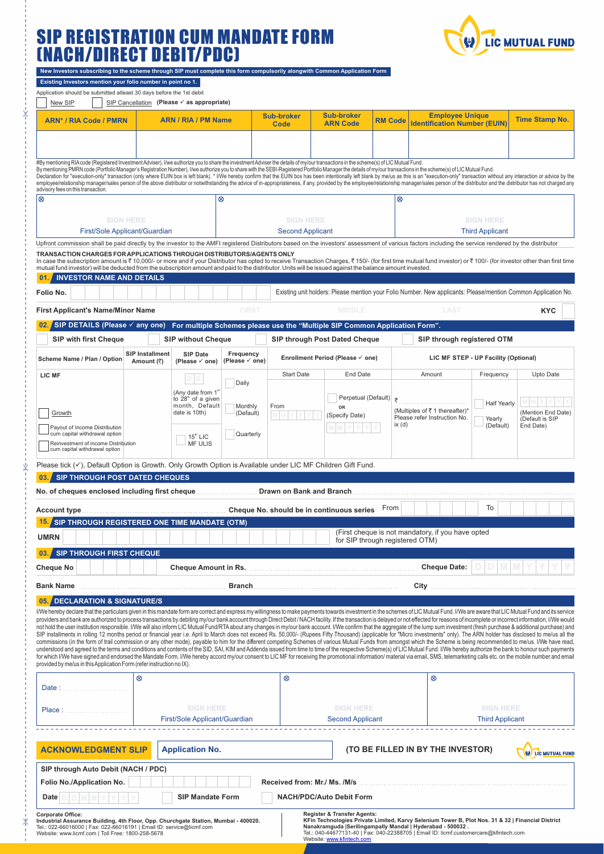# SIP REGISTRATION CUM MANDATE FORM (NACH/DIRECT DEBIT/PDC) ľ

ķ.

Ý

¥



| New Investors subscribing to the scheme through SIP must complete this form compulsorily alongwith Common Application Form |
|----------------------------------------------------------------------------------------------------------------------------|
|                                                                                                                            |

| Existing Investors mention your folio number in point no 1.                                                                                                                                                                                                                                                                                                                                                                                                                                                                                                                                                                                                                                                                                                                                                                                                                                                                                                                                                                                                                                                                                                                                                                                                                                                                                                                                                                                                                                                                                                                                                                                                                                                  |                                                                           |                                                                                                    |                                      |                                  |                                             |                |                                                                                                                |                              |                                       |  |
|--------------------------------------------------------------------------------------------------------------------------------------------------------------------------------------------------------------------------------------------------------------------------------------------------------------------------------------------------------------------------------------------------------------------------------------------------------------------------------------------------------------------------------------------------------------------------------------------------------------------------------------------------------------------------------------------------------------------------------------------------------------------------------------------------------------------------------------------------------------------------------------------------------------------------------------------------------------------------------------------------------------------------------------------------------------------------------------------------------------------------------------------------------------------------------------------------------------------------------------------------------------------------------------------------------------------------------------------------------------------------------------------------------------------------------------------------------------------------------------------------------------------------------------------------------------------------------------------------------------------------------------------------------------------------------------------------------------|---------------------------------------------------------------------------|----------------------------------------------------------------------------------------------------|--------------------------------------|----------------------------------|---------------------------------------------|----------------|----------------------------------------------------------------------------------------------------------------|------------------------------|---------------------------------------|--|
| Application should be submitted atleast 30 days before the 1st debit<br>New SIP                                                                                                                                                                                                                                                                                                                                                                                                                                                                                                                                                                                                                                                                                                                                                                                                                                                                                                                                                                                                                                                                                                                                                                                                                                                                                                                                                                                                                                                                                                                                                                                                                              |                                                                           | SIP Cancellation (Please v as appropriate)                                                         |                                      |                                  |                                             |                |                                                                                                                |                              |                                       |  |
| <b>ARN / RIA / PM Name</b><br><b>ARN* / RIA Code / PMRN</b>                                                                                                                                                                                                                                                                                                                                                                                                                                                                                                                                                                                                                                                                                                                                                                                                                                                                                                                                                                                                                                                                                                                                                                                                                                                                                                                                                                                                                                                                                                                                                                                                                                                  |                                                                           |                                                                                                    |                                      | <b>Sub-broker</b><br><b>Code</b> | <b>Sub-broker</b><br><b>ARN Code</b>        | <b>RM Code</b> | <b>Employee Unique</b><br><b>Identification Number (EUIN)</b>                                                  |                              | <b>Time Stamp No.</b>                 |  |
|                                                                                                                                                                                                                                                                                                                                                                                                                                                                                                                                                                                                                                                                                                                                                                                                                                                                                                                                                                                                                                                                                                                                                                                                                                                                                                                                                                                                                                                                                                                                                                                                                                                                                                              |                                                                           |                                                                                                    |                                      |                                  |                                             |                |                                                                                                                |                              |                                       |  |
| #By mentioning RIA code (Registered Investment Adviser), I/we authorize you to share the investment Adviser the details of my/our transactions in the scheme(s) of LIC Mutual Fund.<br>By mentioning PMRN code (Portfolio Manager's Registration Number), I/we authorize you to share with the SEBI-Registered Portfolio Manager the details of my/our transactions in the scheme(s) of LIC Mutual Fund.<br>Declaration for "execution-only" transaction (only where EUIN box is left blank). * I/We hereby confirm that the EUIN box has been intentionally left blank by me/us as this is an "execution-only" transaction without any in<br>employee/relationship manager/sales person of the above distributor or notwithstanding the advice of in-appropriateness, if any, provided by the employee/relationship manager/sales person of the distributor and the distrib                                                                                                                                                                                                                                                                                                                                                                                                                                                                                                                                                                                                                                                                                                                                                                                                                                 |                                                                           |                                                                                                    |                                      |                                  |                                             |                |                                                                                                                |                              |                                       |  |
| advisory fees on this transaction.<br>$\otimes$<br>$^{\circ}$<br>⊗                                                                                                                                                                                                                                                                                                                                                                                                                                                                                                                                                                                                                                                                                                                                                                                                                                                                                                                                                                                                                                                                                                                                                                                                                                                                                                                                                                                                                                                                                                                                                                                                                                           |                                                                           |                                                                                                    |                                      |                                  |                                             |                |                                                                                                                |                              |                                       |  |
| <b>SIGN HERE</b><br>First/Sole Applicant/Guardian                                                                                                                                                                                                                                                                                                                                                                                                                                                                                                                                                                                                                                                                                                                                                                                                                                                                                                                                                                                                                                                                                                                                                                                                                                                                                                                                                                                                                                                                                                                                                                                                                                                            |                                                                           |                                                                                                    |                                      |                                  | <b>SIGN HERE</b><br><b>Second Applicant</b> |                | <b>SIGN HERE</b><br><b>Third Applicant</b>                                                                     |                              |                                       |  |
| Upfront commission shall be paid directly by the investor to the AMFI registered Distributors based on the investors' assessment of various factors including the service rendered by the distributor                                                                                                                                                                                                                                                                                                                                                                                                                                                                                                                                                                                                                                                                                                                                                                                                                                                                                                                                                                                                                                                                                                                                                                                                                                                                                                                                                                                                                                                                                                        |                                                                           |                                                                                                    |                                      |                                  |                                             |                |                                                                                                                |                              |                                       |  |
| TRANSACTION CHARGES FOR APPLICATIONS THROUGH DISTRIBUTORS/AGENTS ONLY<br>In case the subscription amount is ₹10,000/- or more and if your Distributor has opted to receive Transaction Charges, ₹150/- (for first time mutual fund investor) or ₹100/- (for investor other than first time<br>mutual fund investor) will be deducted from the subscription amount and paid to the distributor. Units will be issued against the balance amount invested.<br><b>INVESTOR NAME AND DETAILS</b><br>01                                                                                                                                                                                                                                                                                                                                                                                                                                                                                                                                                                                                                                                                                                                                                                                                                                                                                                                                                                                                                                                                                                                                                                                                           |                                                                           |                                                                                                    |                                      |                                  |                                             |                |                                                                                                                |                              |                                       |  |
| Folio No.                                                                                                                                                                                                                                                                                                                                                                                                                                                                                                                                                                                                                                                                                                                                                                                                                                                                                                                                                                                                                                                                                                                                                                                                                                                                                                                                                                                                                                                                                                                                                                                                                                                                                                    |                                                                           |                                                                                                    |                                      |                                  |                                             |                | Existing unit holders: Please mention your Folio Number. New applicants: Please/mention Common Application No. |                              |                                       |  |
| <b>FIRST</b><br><b>MIDDLE</b><br>LAST<br><b>First Applicant's Name/Minor Name</b><br><b>KYC</b>                                                                                                                                                                                                                                                                                                                                                                                                                                                                                                                                                                                                                                                                                                                                                                                                                                                                                                                                                                                                                                                                                                                                                                                                                                                                                                                                                                                                                                                                                                                                                                                                              |                                                                           |                                                                                                    |                                      |                                  |                                             |                |                                                                                                                |                              |                                       |  |
| 02. SIP DETAILS (Please $\checkmark$ any one)<br>For multiple Schemes please use the "Multiple SIP Common Application Form".                                                                                                                                                                                                                                                                                                                                                                                                                                                                                                                                                                                                                                                                                                                                                                                                                                                                                                                                                                                                                                                                                                                                                                                                                                                                                                                                                                                                                                                                                                                                                                                 |                                                                           |                                                                                                    |                                      |                                  |                                             |                |                                                                                                                |                              |                                       |  |
| <b>SIP with first Cheque</b>                                                                                                                                                                                                                                                                                                                                                                                                                                                                                                                                                                                                                                                                                                                                                                                                                                                                                                                                                                                                                                                                                                                                                                                                                                                                                                                                                                                                                                                                                                                                                                                                                                                                                 |                                                                           | <b>SIP without Cheque</b>                                                                          | <b>SIP through Post Dated Cheque</b> |                                  |                                             |                | SIP through registered OTM                                                                                     |                              |                                       |  |
| Scheme Name / Plan / Option                                                                                                                                                                                                                                                                                                                                                                                                                                                                                                                                                                                                                                                                                                                                                                                                                                                                                                                                                                                                                                                                                                                                                                                                                                                                                                                                                                                                                                                                                                                                                                                                                                                                                  | <b>SIP Installment</b><br><b>SIP Date</b><br>Amount (₹)<br>(Please √ one) |                                                                                                    | Frequency<br>(Please √ one)          | Enrollment Period (Please √ one) |                                             |                |                                                                                                                |                              | LIC MF STEP - UP Facility (Optional)  |  |
| LIC MF                                                                                                                                                                                                                                                                                                                                                                                                                                                                                                                                                                                                                                                                                                                                                                                                                                                                                                                                                                                                                                                                                                                                                                                                                                                                                                                                                                                                                                                                                                                                                                                                                                                                                                       |                                                                           | $D$ $D$                                                                                            |                                      | <b>Start Date</b>                | End Date                                    |                | Amount                                                                                                         | Frequency                    | Upto Date                             |  |
| Growth                                                                                                                                                                                                                                                                                                                                                                                                                                                                                                                                                                                                                                                                                                                                                                                                                                                                                                                                                                                                                                                                                                                                                                                                                                                                                                                                                                                                                                                                                                                                                                                                                                                                                                       |                                                                           | (Any date from 1 <sup>®</sup><br>to 28 <sup>th</sup> of a given<br>month, Default<br>date is 10th) | Daily<br>Monthly<br>(Default)        | From                             | Perpetual (Default)<br>OR<br>(Specify Date) | ₹              | (Multiples of ₹1 thereafter)*<br>Please refer Instruction No.<br>ix(d)                                         | <b>Half Yearly</b><br>Yearly | (Mention End Date)<br>(Default is SIP |  |
| Payout of Income Distribution<br>cum capital withdrawal option<br>Reinvestment of income Distribution<br>cum capital withdrawal option                                                                                                                                                                                                                                                                                                                                                                                                                                                                                                                                                                                                                                                                                                                                                                                                                                                                                                                                                                                                                                                                                                                                                                                                                                                                                                                                                                                                                                                                                                                                                                       |                                                                           | $15th$ LIC<br><b>MF ULIS</b>                                                                       | Quarterly                            |                                  |                                             |                |                                                                                                                | (Default)                    | End Date)                             |  |
| Please tick $(v)$ , Default Option is Growth. Only Growth Option is Available under LIC MF Children Gift Fund.                                                                                                                                                                                                                                                                                                                                                                                                                                                                                                                                                                                                                                                                                                                                                                                                                                                                                                                                                                                                                                                                                                                                                                                                                                                                                                                                                                                                                                                                                                                                                                                               |                                                                           |                                                                                                    |                                      |                                  |                                             |                |                                                                                                                |                              |                                       |  |
| <b>SIP THROUGH POST DATED CHEQUES</b>                                                                                                                                                                                                                                                                                                                                                                                                                                                                                                                                                                                                                                                                                                                                                                                                                                                                                                                                                                                                                                                                                                                                                                                                                                                                                                                                                                                                                                                                                                                                                                                                                                                                        |                                                                           |                                                                                                    |                                      |                                  |                                             |                |                                                                                                                |                              |                                       |  |
|                                                                                                                                                                                                                                                                                                                                                                                                                                                                                                                                                                                                                                                                                                                                                                                                                                                                                                                                                                                                                                                                                                                                                                                                                                                                                                                                                                                                                                                                                                                                                                                                                                                                                                              |                                                                           |                                                                                                    |                                      |                                  |                                             |                |                                                                                                                |                              |                                       |  |
| To<br>From<br>Cheque No. should be in continuous series<br>Account type<br><b>15. SIP THROUGH REGISTERED ONE TIME MANDATE (OTM)</b>                                                                                                                                                                                                                                                                                                                                                                                                                                                                                                                                                                                                                                                                                                                                                                                                                                                                                                                                                                                                                                                                                                                                                                                                                                                                                                                                                                                                                                                                                                                                                                          |                                                                           |                                                                                                    |                                      |                                  |                                             |                |                                                                                                                |                              |                                       |  |
|                                                                                                                                                                                                                                                                                                                                                                                                                                                                                                                                                                                                                                                                                                                                                                                                                                                                                                                                                                                                                                                                                                                                                                                                                                                                                                                                                                                                                                                                                                                                                                                                                                                                                                              |                                                                           |                                                                                                    |                                      |                                  |                                             |                | (First cheque is not mandatory, if you have opted                                                              |                              |                                       |  |
| <b>UMRN</b><br><b>SIP THROUGH FIRST CHEQUE</b>                                                                                                                                                                                                                                                                                                                                                                                                                                                                                                                                                                                                                                                                                                                                                                                                                                                                                                                                                                                                                                                                                                                                                                                                                                                                                                                                                                                                                                                                                                                                                                                                                                                               |                                                                           |                                                                                                    |                                      |                                  |                                             |                | for SIP through registered OTM)                                                                                |                              |                                       |  |
| 03.<br><b>Cheque No</b>                                                                                                                                                                                                                                                                                                                                                                                                                                                                                                                                                                                                                                                                                                                                                                                                                                                                                                                                                                                                                                                                                                                                                                                                                                                                                                                                                                                                                                                                                                                                                                                                                                                                                      |                                                                           | <b>Cheque Date:</b><br><b>Cheque Amount in Rs.</b>                                                 |                                      |                                  |                                             |                |                                                                                                                |                              |                                       |  |
| <b>Bank Name</b>                                                                                                                                                                                                                                                                                                                                                                                                                                                                                                                                                                                                                                                                                                                                                                                                                                                                                                                                                                                                                                                                                                                                                                                                                                                                                                                                                                                                                                                                                                                                                                                                                                                                                             |                                                                           |                                                                                                    | <b>Branch</b>                        |                                  |                                             |                | City                                                                                                           |                              |                                       |  |
| DECLARATION & SIGNATURE/S<br>05.                                                                                                                                                                                                                                                                                                                                                                                                                                                                                                                                                                                                                                                                                                                                                                                                                                                                                                                                                                                                                                                                                                                                                                                                                                                                                                                                                                                                                                                                                                                                                                                                                                                                             |                                                                           |                                                                                                    |                                      |                                  |                                             |                |                                                                                                                |                              |                                       |  |
| I/We hereby declare that the particulars given in this mandate form are correct and express my willingness to make payments towards investment in the schemes of LIC Mutual Fund. I/We are aware that LIC Mutual Fund and its<br>providers and bank are authorized to process transactions by debiting my/our bank account through Direct Debit/NACH facility. If the transaction is delayed or not effected for reasons of incomplete or incorrect information<br>not hold the user institution responsible. I/We will also inform LIC Mutual Fund/RTA about any changes in my/our bank account. I/We confirm that the aggregate of the lump sum investment (fresh purchase & additional purchas<br>SIP installments in rolling 12 months period or financial year i.e. April to March does not exceed Rs. 50,000/- (Rupees Fifty Thousand) (applicable for "Micro investments" only). The ARN holder has disclosed to me/us all t<br>commissions (in the form of trail commission or any other mode), payable to him for the different competing Schemes of various Mutual Funds from amongst which the Scheme is being recommended to me/us. I/We have read,<br>understood and agreed to the terms and conditions and contents of the SID, SAI, KIM and Addenda issued from time to time of the respective Scheme(s) of LIC Mutual Fund. I/We hereby authorize the bank to honour such payment<br>for which I/We have signed and endorsed the Mandate Form. I/We hereby accord my/our consent to LIC MF for receiving the promotional information/ material via email, SMS, telemarketing calls etc. on the mobile number and em<br>provided by me/us in this Application Form (refer instruction no IX). |                                                                           |                                                                                                    |                                      |                                  |                                             |                |                                                                                                                |                              |                                       |  |
| Date:                                                                                                                                                                                                                                                                                                                                                                                                                                                                                                                                                                                                                                                                                                                                                                                                                                                                                                                                                                                                                                                                                                                                                                                                                                                                                                                                                                                                                                                                                                                                                                                                                                                                                                        | $^{\circ}$                                                                |                                                                                                    |                                      | $^{\circ}$                       |                                             |                | ⊗                                                                                                              |                              |                                       |  |
| <b>SIGN HERE</b><br>Place :<br>First/Sole Applicant/Guardian                                                                                                                                                                                                                                                                                                                                                                                                                                                                                                                                                                                                                                                                                                                                                                                                                                                                                                                                                                                                                                                                                                                                                                                                                                                                                                                                                                                                                                                                                                                                                                                                                                                 |                                                                           |                                                                                                    |                                      |                                  | <b>SIGN HERE</b><br><b>Second Applicant</b> |                | <b>SIGN HERE</b><br><b>Third Applicant</b>                                                                     |                              |                                       |  |
| <b>ACKNOWLEDGMENT SLIP</b><br><b>Application No.</b><br>(TO BE FILLED IN BY THE INVESTOR)<br><b>W</b> LIC MUTUAL FUND                                                                                                                                                                                                                                                                                                                                                                                                                                                                                                                                                                                                                                                                                                                                                                                                                                                                                                                                                                                                                                                                                                                                                                                                                                                                                                                                                                                                                                                                                                                                                                                        |                                                                           |                                                                                                    |                                      |                                  |                                             |                |                                                                                                                |                              |                                       |  |
| SIP through Auto Debit (NACH / PDC)                                                                                                                                                                                                                                                                                                                                                                                                                                                                                                                                                                                                                                                                                                                                                                                                                                                                                                                                                                                                                                                                                                                                                                                                                                                                                                                                                                                                                                                                                                                                                                                                                                                                          |                                                                           |                                                                                                    |                                      |                                  |                                             |                |                                                                                                                |                              |                                       |  |
| Folio No./Application No.                                                                                                                                                                                                                                                                                                                                                                                                                                                                                                                                                                                                                                                                                                                                                                                                                                                                                                                                                                                                                                                                                                                                                                                                                                                                                                                                                                                                                                                                                                                                                                                                                                                                                    |                                                                           |                                                                                                    |                                      | Received from: Mr./ Ms./M/s      |                                             |                |                                                                                                                |                              |                                       |  |
| Date                                                                                                                                                                                                                                                                                                                                                                                                                                                                                                                                                                                                                                                                                                                                                                                                                                                                                                                                                                                                                                                                                                                                                                                                                                                                                                                                                                                                                                                                                                                                                                                                                                                                                                         |                                                                           | <b>SIP Mandate Form</b>                                                                            |                                      |                                  | <b>NACH/PDC/Auto Debit Form</b>             |                |                                                                                                                |                              |                                       |  |
| <b>Register &amp; Transfer Agents:</b><br><b>Corporate Office:</b><br>KEin Technologies Private Limited, Karyy Selenium Tower R, Plot Nos. 31 & 32   Financial District                                                                                                                                                                                                                                                                                                                                                                                                                                                                                                                                                                                                                                                                                                                                                                                                                                                                                                                                                                                                                                                                                                                                                                                                                                                                                                                                                                                                                                                                                                                                      |                                                                           |                                                                                                    |                                      |                                  |                                             |                |                                                                                                                |                              |                                       |  |

Corporate Office:<br>Industrial Assurance Building, 4th Floor, Opp. Churchgate Station, Mumbai - 400020.<br>Tel.: 022-66016000 | Fax: 022-66016191 | Email ID: service@licmf.com<br>Website: www.licmf.com | Toll Free: 1800-258-5678

Register & Transfer Agents:<br>KFin Technologies Private Limited, Karvy Selenium Tower B, Plot Nos. 31 & 32 | Financial District<br>Nanakramguda |Serilingampally Mandal | Hyderabad - 500032 .<br>Tel.: 040-44677131-40 | Fax: 040-223